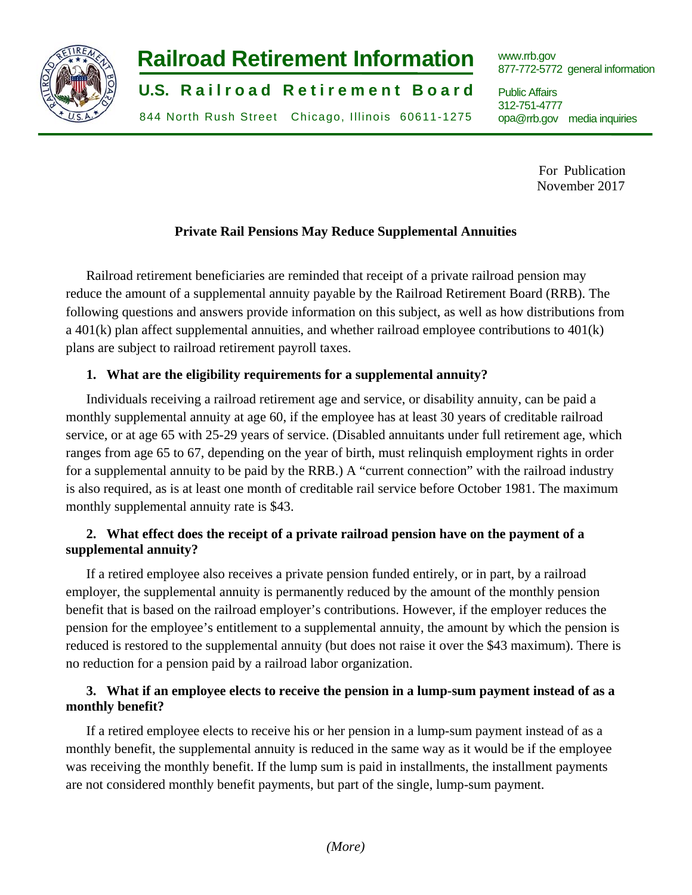

# **-2- Railroad Retirement Information**

**U.S. Railroad Retirement Board** 

844 North Rush Street Chicago, Illinois 60611-1275

www.rrb.gov 877-772-5772 general information

Public Affairs 312-751-4777 opa@rrb.gov media inquiries

> For Publication November 2017

## **Private Rail Pensions May Reduce Supplemental Annuities**

Railroad retirement beneficiaries are reminded that receipt of a private railroad pension may reduce the amount of a supplemental annuity payable by the Railroad Retirement Board (RRB). The following questions and answers provide information on this subject, as well as how distributions from a 401(k) plan affect supplemental annuities, and whether railroad employee contributions to 401(k) plans are subject to railroad retirement payroll taxes.

#### **1. What are the eligibility requirements for a supplemental annuity?**

Individuals receiving a railroad retirement age and service, or disability annuity, can be paid a monthly supplemental annuity at age 60, if the employee has at least 30 years of creditable railroad service, or at age 65 with 25-29 years of service. (Disabled annuitants under full retirement age, which ranges from age 65 to 67, depending on the year of birth, must relinquish employment rights in order for a supplemental annuity to be paid by the RRB.) A "current connection" with the railroad industry is also required, as is at least one month of creditable rail service before October 1981. The maximum monthly supplemental annuity rate is \$43.

## **2. What effect does the receipt of a private railroad pension have on the payment of a supplemental annuity?**

If a retired employee also receives a private pension funded entirely, or in part, by a railroad employer, the supplemental annuity is permanently reduced by the amount of the monthly pension benefit that is based on the railroad employer's contributions. However, if the employer reduces the pension for the employee's entitlement to a supplemental annuity, the amount by which the pension is reduced is restored to the supplemental annuity (but does not raise it over the \$43 maximum). There is no reduction for a pension paid by a railroad labor organization.

## **3. What if an employee elects to receive the pension in a lump-sum payment instead of as a monthly benefit?**

If a retired employee elects to receive his or her pension in a lump-sum payment instead of as a monthly benefit, the supplemental annuity is reduced in the same way as it would be if the employee was receiving the monthly benefit. If the lump sum is paid in installments, the installment payments are not considered monthly benefit payments, but part of the single, lump-sum payment.